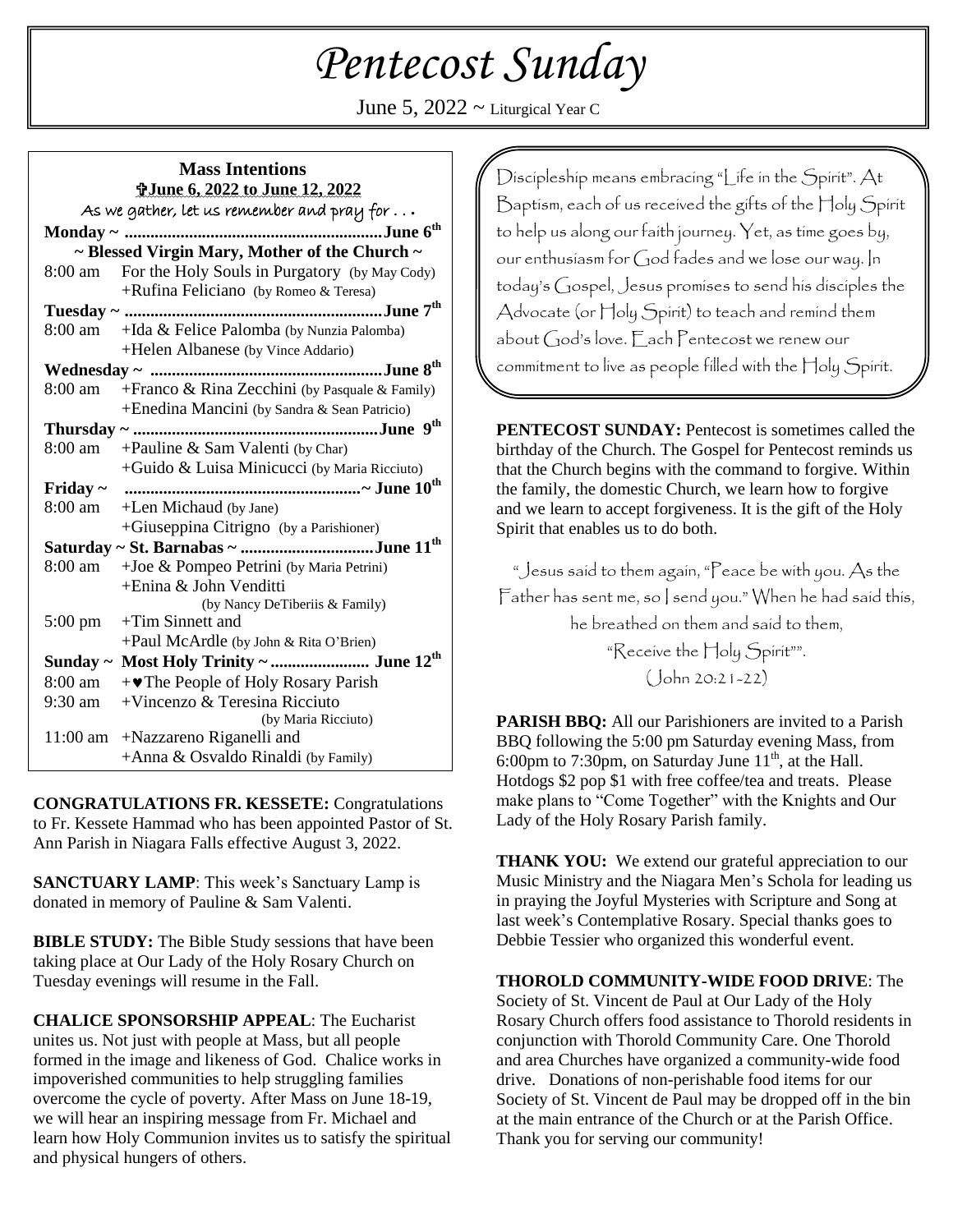# *Pentecost Sunday*

June 5,  $2022 \sim$  Liturgical Year C

# **Mass Intentions June 6, 2022 to June 12, 2022**

| As we gather, let us remember and pray for $\ldots$ |                                                   |  |
|-----------------------------------------------------|---------------------------------------------------|--|
|                                                     |                                                   |  |
| ~ Blessed Virgin Mary, Mother of the Church ~       |                                                   |  |
| 8:00 am                                             | For the Holy Souls in Purgatory (by May Cody)     |  |
|                                                     | +Rufina Feliciano (by Romeo & Teresa)             |  |
|                                                     |                                                   |  |
|                                                     | 8:00 am +Ida & Felice Palomba (by Nunzia Palomba) |  |
|                                                     | +Helen Albanese (by Vince Addario)                |  |
|                                                     |                                                   |  |
| 8:00 am                                             | + Franco & Rina Zecchini (by Pasquale & Family)   |  |
|                                                     | +Enedina Mancini (by Sandra & Sean Patricio)      |  |
|                                                     |                                                   |  |
|                                                     | 8:00 am + Pauline & Sam Valenti (by Char)         |  |
|                                                     | $+$ Guido & Luisa Minicucci (by Maria Ricciuto)   |  |
| Friday $\sim$                                       |                                                   |  |
|                                                     | 8:00 am +Len Michaud (by Jane)                    |  |
|                                                     | +Giuseppina Citrigno (by a Parishioner)           |  |
| Saturday ~ St. Barnabas ~ June 11 <sup>th</sup>     |                                                   |  |
| 8:00 am                                             | +Joe & Pompeo Petrini (by Maria Petrini)          |  |
|                                                     | +Enina & John Venditti                            |  |
|                                                     | (by Nancy DeTiberiis & Family)                    |  |
| $5:00 \text{ pm}$                                   | $+$ Tim Sinnett and                               |  |
|                                                     | +Paul McArdle (by John & Rita O'Brien)            |  |
| Sunday $\sim$                                       | Most Holy Trinity ~  June 12 <sup>th</sup>        |  |
| 8:00 am                                             | $+\bullet$ The People of Holy Rosary Parish       |  |
| 9:30 am                                             | $+$ Vincenzo & Teresina Ricciuto                  |  |
|                                                     | (by Maria Ricciuto)                               |  |
|                                                     | 11:00 am +Nazzareno Riganelli and                 |  |
|                                                     | +Anna & Osvaldo Rinaldi (by Family)               |  |

**CONGRATULATIONS FR. KESSETE:** Congratulations to Fr. Kessete Hammad who has been appointed Pastor of St. Ann Parish in Niagara Falls effective August 3, 2022.

**SANCTUARY LAMP**: This week's Sanctuary Lamp is donated in memory of Pauline & Sam Valenti.

**BIBLE STUDY:** The Bible Study sessions that have been taking place at Our Lady of the Holy Rosary Church on Tuesday evenings will resume in the Fall.

**CHALICE SPONSORSHIP APPEAL**: The Eucharist unites us. Not just with people at Mass, but all people formed in the image and likeness of God. Chalice works in impoverished communities to help struggling families overcome the cycle of poverty. After Mass on June 18-19, we will hear an inspiring message from Fr. Michael and learn how Holy Communion invites us to satisfy the spiritual and physical hungers of others.

Discipleship means embracing "Life in the Spirit". At Baptism, each of us received the gifts of the Holy Spirit to help us along our faith journey. Yet, as time goes by, our enthusiasm for God fades and we lose our way. In today's Gospel, Jesus promises to send his disciples the Advocate (or Holy Spirit) to teach and remind them about God's love. Each Pentecost we renew our commitment to live as people filled with the Holy Spirit.

**PENTECOST SUNDAY:** Pentecost is sometimes called the birthday of the Church. The Gospel for Pentecost reminds us that the Church begins with the command to forgive. Within the family, the domestic Church, we learn how to forgive and we learn to accept forgiveness. It is the gift of the Holy Spirit that enables us to do both.

"Jesus said to them again, "Peace be with you. As the Father has sent me, so I send you." When he had said this, he breathed on them and said to them, "Receive the Holy Spirit"".

(John 20:21-22)

**PARISH BBQ:** All our Parishioners are invited to a Parish BBQ following the 5:00 pm Saturday evening Mass, from 6:00pm to 7:30pm, on Saturday June  $11<sup>th</sup>$ , at the Hall. Hotdogs \$2 pop \$1 with free coffee/tea and treats. Please make plans to "Come Together" with the Knights and Our Lady of the Holy Rosary Parish family.

**THANK YOU:** We extend our grateful appreciation to our Music Ministry and the Niagara Men's Schola for leading us in praying the Joyful Mysteries with Scripture and Song at last week's Contemplative Rosary. Special thanks goes to Debbie Tessier who organized this wonderful event.

**THOROLD COMMUNITY-WIDE FOOD DRIVE**: The Society of St. Vincent de Paul at Our Lady of the Holy Rosary Church offers food assistance to Thorold residents in conjunction with Thorold Community Care. One Thorold and area Churches have organized a community-wide food drive. Donations of non-perishable food items for our Society of St. Vincent de Paul may be dropped off in the bin at the main entrance of the Church or at the Parish Office. Thank you for serving our community!